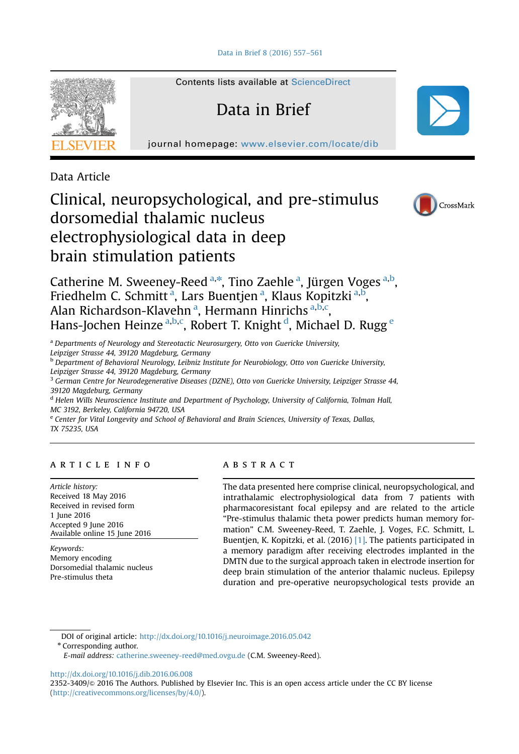[Data in Brief 8 \(2016\) 557](http://dx.doi.org/10.1016/j.dib.2016.06.008)–561



Contents lists available at [ScienceDirect](www.sciencedirect.com/science/journal/23523409)

# Data in Brief



Data Article

## Clinical, neuropsychological, and pre-stimulus dorsomedial thalamic nucleus electrophysiological data in deep brain stimulation patients



Catherine M. Sweeney-Reed <sup>a,\*</sup>, Tino Zaehle <sup>a</sup>, Jürgen Voges <sup>a,b</sup>, Friedhelm C. Schmitt<sup>a</sup>, Lars Buentjen<sup>a</sup>, Klaus Kopitzki<sup>a, b</sup>, Alan Richardson-Klavehn<sup>a</sup>, Hermann Hinrichs<sup>a,b,c</sup>, Hans-Jochen Heinze <sup>a,b,c</sup>, Robert T. Knight <sup>d</sup>, Michael D. Rugg <sup>e</sup>

<sup>a</sup> Departments of Neurology and Stereotactic Neurosurgery, Otto von Guericke University, Leipziger Strasse 44, 39120 Magdeburg, Germany

<sup>b</sup> Department of Behavioral Neurology, Leibniz Institute for Neurobiology, Otto von Guericke University, Leipziger Strasse 44, 39120 Magdeburg, Germany

<sup>3</sup> German Centre for Neurodegenerative Diseases (DZNE), Otto von Guericke University, Leipziger Strasse 44, 39120 Magdeburg, Germany

<sup>d</sup> Helen Wills Neuroscience Institute and Department of Psychology, University of California, Tolman Hall, MC 3192, Berkeley, California 94720, USA

<sup>e</sup> Center for Vital Longevity and School of Behavioral and Brain Sciences, University of Texas, Dallas, TX 75235, USA

## article info

Article history: Received 18 May 2016 Received in revised form 1 June 2016 Accepted 9 June 2016 Available online 15 June 2016

Keywords: Memory encoding Dorsomedial thalamic nucleus Pre-stimulus theta

## abstract

The data presented here comprise clinical, neuropsychological, and intrathalamic electrophysiological data from 7 patients with pharmacoresistant focal epilepsy and are related to the article "Pre-stimulus thalamic theta power predicts human memory formation" C.M. Sweeney-Reed, T. Zaehle, J. Voges, F.C. Schmitt, L. Buentjen, K. Kopitzki, et al. (2016) [\[1\]](#page-4-0). The patients participated in a memory paradigm after receiving electrodes implanted in the DMTN due to the surgical approach taken in electrode insertion for deep brain stimulation of the anterior thalamic nucleus. Epilepsy duration and pre-operative neuropsychological tests provide an

DOI of original article: http://dx.doi.org/10.1016/j.neuroimage.2016.05.042

\* Corresponding author.

<http://dx.doi.org/10.1016/j.dib.2016.06.008>

2352-3409/ $\odot$  2016 The Authors. Published by Elsevier Inc. This is an open access article under the CC BY license (http://creativecommons.org/licenses/by/4.0/).

E-mail address: [catherine.sweeney-reed@med.ovgu.de](mailto:catherine.sweeney-reed@med.ovgu.de) (C.M. Sweeney-Reed).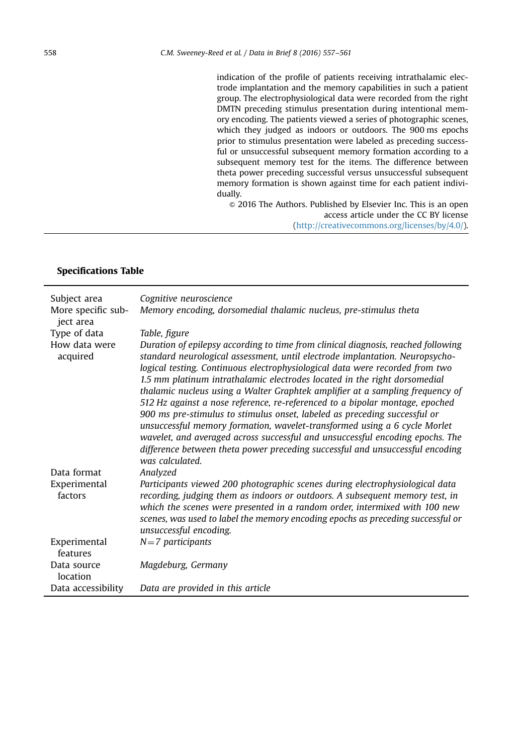indication of the profile of patients receiving intrathalamic electrode implantation and the memory capabilities in such a patient group. The electrophysiological data were recorded from the right DMTN preceding stimulus presentation during intentional memory encoding. The patients viewed a series of photographic scenes, which they judged as indoors or outdoors. The 900 ms epochs prior to stimulus presentation were labeled as preceding successful or unsuccessful subsequent memory formation according to a subsequent memory test for the items. The difference between theta power preceding successful versus unsuccessful subsequent memory formation is shown against time for each patient individually.

 $\odot$  2016 The Authors. Published by Elsevier Inc. This is an open access article under the CC BY license (http://creativecommons.org/licenses/by/4.0/).

#### Specifications Table

| Subject area<br>More specific sub-<br>ject area | Cognitive neuroscience<br>Memory encoding, dorsomedial thalamic nucleus, pre-stimulus theta                                                                                                                                                                                                                                                                                                                                                                                                                                                                                                                                                                                                                                                                                                                                                    |
|-------------------------------------------------|------------------------------------------------------------------------------------------------------------------------------------------------------------------------------------------------------------------------------------------------------------------------------------------------------------------------------------------------------------------------------------------------------------------------------------------------------------------------------------------------------------------------------------------------------------------------------------------------------------------------------------------------------------------------------------------------------------------------------------------------------------------------------------------------------------------------------------------------|
| Type of data                                    | Table, figure                                                                                                                                                                                                                                                                                                                                                                                                                                                                                                                                                                                                                                                                                                                                                                                                                                  |
| How data were<br>acquired                       | Duration of epilepsy according to time from clinical diagnosis, reached following<br>standard neurological assessment, until electrode implantation. Neuropsycho-<br>logical testing. Continuous electrophysiological data were recorded from two<br>1.5 mm platinum intrathalamic electrodes located in the right dorsomedial<br>thalamic nucleus using a Walter Graphtek amplifier at a sampling frequency of<br>512 Hz against a nose reference, re-referenced to a bipolar montage, epoched<br>900 ms pre-stimulus to stimulus onset, labeled as preceding successful or<br>unsuccessful memory formation, wavelet-transformed using a 6 cycle Morlet<br>wavelet, and averaged across successful and unsuccessful encoding epochs. The<br>difference between theta power preceding successful and unsuccessful encoding<br>was calculated. |
| Data format                                     | Analyzed                                                                                                                                                                                                                                                                                                                                                                                                                                                                                                                                                                                                                                                                                                                                                                                                                                       |
| Experimental<br>factors                         | Participants viewed 200 photographic scenes during electrophysiological data<br>recording, judging them as indoors or outdoors. A subsequent memory test, in<br>which the scenes were presented in a random order, intermixed with 100 new<br>scenes, was used to label the memory encoding epochs as preceding successful or<br>unsuccessful encoding.                                                                                                                                                                                                                                                                                                                                                                                                                                                                                        |
| Experimental<br>features                        | $N=7$ participants                                                                                                                                                                                                                                                                                                                                                                                                                                                                                                                                                                                                                                                                                                                                                                                                                             |
| Data source<br>location                         | Magdeburg, Germany                                                                                                                                                                                                                                                                                                                                                                                                                                                                                                                                                                                                                                                                                                                                                                                                                             |
| Data accessibility                              | Data are provided in this article                                                                                                                                                                                                                                                                                                                                                                                                                                                                                                                                                                                                                                                                                                                                                                                                              |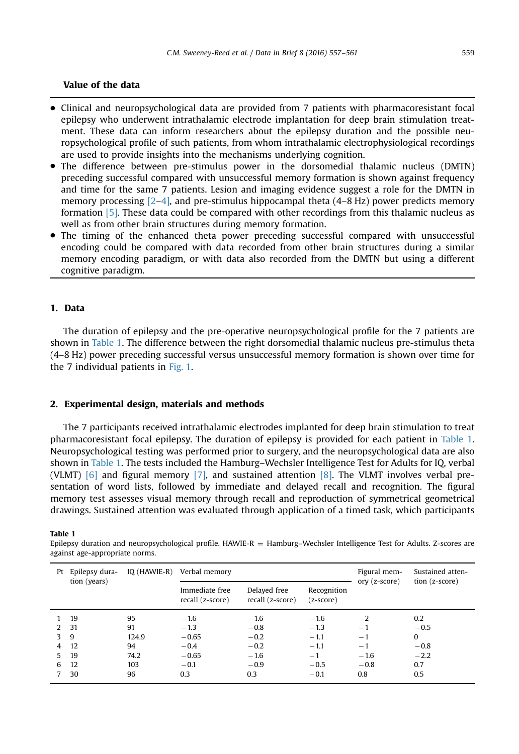## Value of the data

- Clinical and neuropsychological data are provided from 7 patients with pharmacoresistant focal epilepsy who underwent intrathalamic electrode implantation for deep brain stimulation treatment. These data can inform researchers about the epilepsy duration and the possible neuropsychological profile of such patients, from whom intrathalamic electrophysiological recordings are used to provide insights into the mechanisms underlying cognition.
- The difference between pre-stimulus power in the dorsomedial thalamic nucleus (DMTN) preceding successful compared with unsuccessful memory formation is shown against frequency and time for the same 7 patients. Lesion and imaging evidence suggest a role for the DMTN in memory processing  $[2-4]$  $[2-4]$  $[2-4]$ , and pre-stimulus hippocampal theta  $(4-8$  Hz) power predicts memory formation [\[5\]](#page-4-0). These data could be compared with other recordings from this thalamic nucleus as well as from other brain structures during memory formation.
- The timing of the enhanced theta power preceding successful compared with unsuccessful encoding could be compared with data recorded from other brain structures during a similar memory encoding paradigm, or with data also recorded from the DMTN but using a different cognitive paradigm.

## 1. Data

The duration of epilepsy and the pre-operative neuropsychological profile for the 7 patients are shown in Table 1. The difference between the right dorsomedial thalamic nucleus pre-stimulus theta (4–8 Hz) power preceding successful versus unsuccessful memory formation is shown over time for the 7 individual patients in [Fig. 1](#page-3-0).

#### 2. Experimental design, materials and methods

The 7 participants received intrathalamic electrodes implanted for deep brain stimulation to treat pharmacoresistant focal epilepsy. The duration of epilepsy is provided for each patient in Table 1. Neuropsychological testing was performed prior to surgery, and the neuropsychological data are also shown in Table 1. The tests included the Hamburg–Wechsler Intelligence Test for Adults for IQ, verbal (VLMT)  $[6]$  and figural memory  $[7]$ , and sustained attention  $[8]$ . The VLMT involves verbal presentation of word lists, followed by immediate and delayed recall and recognition. The figural memory test assesses visual memory through recall and reproduction of symmetrical geometrical drawings. Sustained attention was evaluated through application of a timed task, which participants

#### Table 1

Epilepsy duration and neuropsychological profile. HAWIE-R = Hamburg–Wechsler Intelligence Test for Adults. Z-scores are against age-appropriate norms.

| Pt               | Epilepsy dura-<br>tion (years) | IQ (HAWIE-R) | Verbal memorv                      |                                  |                            | Figural mem-<br>ory (z-score) | Sustained atten-<br>tion (z-score) |
|------------------|--------------------------------|--------------|------------------------------------|----------------------------------|----------------------------|-------------------------------|------------------------------------|
|                  |                                |              | Immediate free<br>recall (z-score) | Delayed free<br>recall (z-score) | Recognition<br>$(z-score)$ |                               |                                    |
|                  | 19                             | 95           | $-1.6$                             | $-1.6$                           | $-1.6$                     | $-2$                          | 0.2                                |
|                  | 2 31                           | 91           | $-1.3$                             | $-0.8$                           | $-1.3$                     | $-1$                          | $-0.5$                             |
| $3 \overline{9}$ |                                | 124.9        | $-0.65$                            | $-0.2$                           | $-1.1$                     | $-1$                          | $\bf{0}$                           |
| 4                | -12                            | 94           | $-0.4$                             | $-0.2$                           | $-1.1$                     | $-1$                          | $-0.8$                             |
| 5.               | 19                             | 74.2         | $-0.65$                            | $-1.6$                           | $-1$                       | $-1.6$                        | $-2.2$                             |
| 6                | 12                             | 103          | $-0.1$                             | $-0.9$                           | $-0.5$                     | $-0.8$                        | 0.7                                |
|                  | 30                             | 96           | 0.3                                | 0.3                              | $-0.1$                     | 0.8                           | 0.5                                |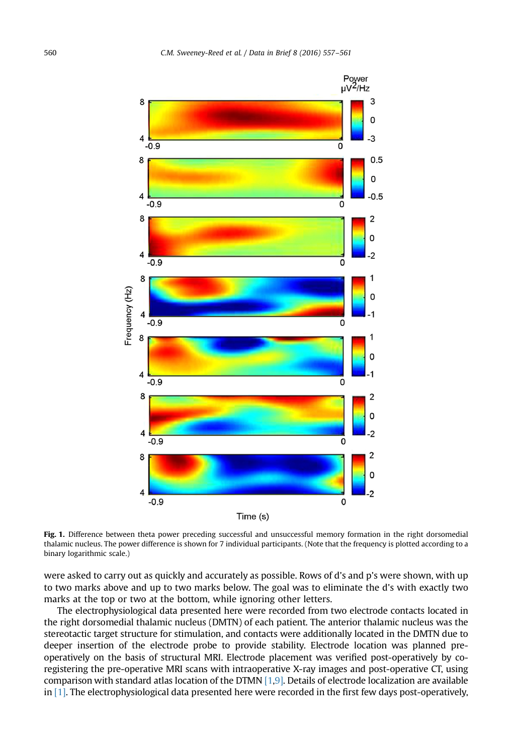<span id="page-3-0"></span>

Fig. 1. Difference between theta power preceding successful and unsuccessful memory formation in the right dorsomedial thalamic nucleus. The power difference is shown for 7 individual participants. (Note that the frequency is plotted according to a binary logarithmic scale.)

were asked to carry out as quickly and accurately as possible. Rows of d's and p's were shown, with up to two marks above and up to two marks below. The goal was to eliminate the d's with exactly two marks at the top or two at the bottom, while ignoring other letters.

The electrophysiological data presented here were recorded from two electrode contacts located in the right dorsomedial thalamic nucleus (DMTN) of each patient. The anterior thalamic nucleus was the stereotactic target structure for stimulation, and contacts were additionally located in the DMTN due to deeper insertion of the electrode probe to provide stability. Electrode location was planned preoperatively on the basis of structural MRI. Electrode placement was verified post-operatively by coregistering the pre-operative MRI scans with intraoperative X-ray images and post-operative CT, using comparison with standard atlas location of the DTMN [\[1,9\]](#page-4-0). Details of electrode localization are available in  $[1]$ . The electrophysiological data presented here were recorded in the first few days post-operatively,